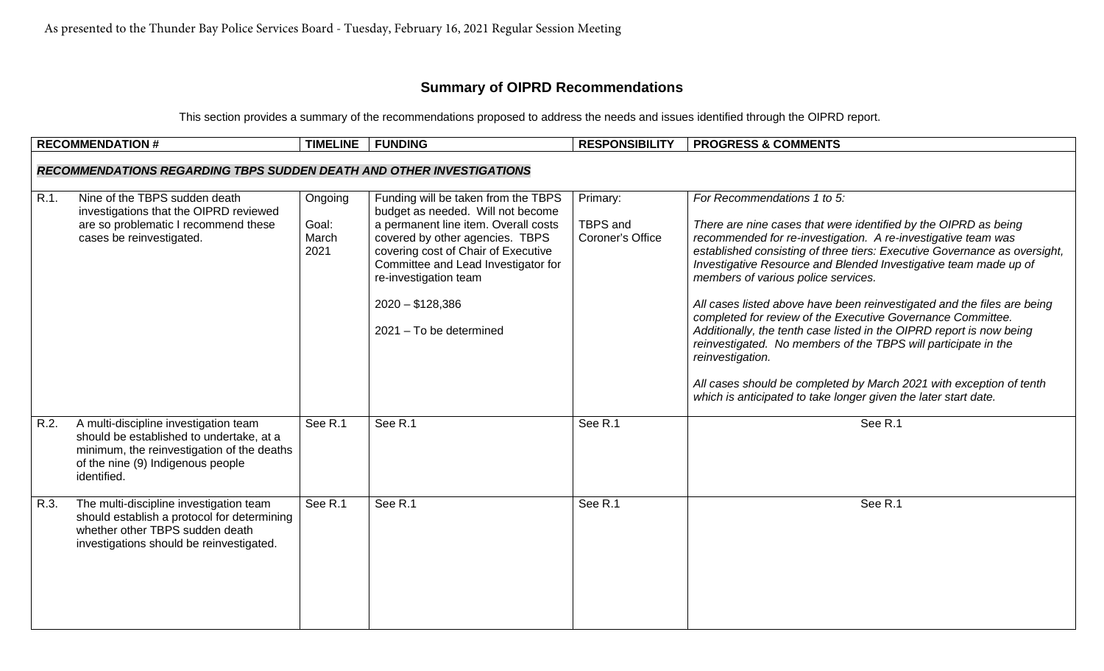## **Summary of OIPRD Recommendations**

This section provides a summary of the recommendations proposed to address the needs and issues identified through the OIPRD report.

|      | <b>RECOMMENDATION #</b>                                                                                                                                                             | <b>TIMELINE</b>                   | <b>FUNDING</b>                                                                                                                                                                                                                                                                                             | <b>RESPONSIBILITY</b>                    | <b>PROGRESS &amp; COMMENTS</b>                                                                                                                                                                                                                                                                                                                                                                                                                                                                                                                                                                                                                                                                                                                                                                            |  |  |  |  |
|------|-------------------------------------------------------------------------------------------------------------------------------------------------------------------------------------|-----------------------------------|------------------------------------------------------------------------------------------------------------------------------------------------------------------------------------------------------------------------------------------------------------------------------------------------------------|------------------------------------------|-----------------------------------------------------------------------------------------------------------------------------------------------------------------------------------------------------------------------------------------------------------------------------------------------------------------------------------------------------------------------------------------------------------------------------------------------------------------------------------------------------------------------------------------------------------------------------------------------------------------------------------------------------------------------------------------------------------------------------------------------------------------------------------------------------------|--|--|--|--|
|      | <b>RECOMMENDATIONS REGARDING TBPS SUDDEN DEATH AND OTHER INVESTIGATIONS</b>                                                                                                         |                                   |                                                                                                                                                                                                                                                                                                            |                                          |                                                                                                                                                                                                                                                                                                                                                                                                                                                                                                                                                                                                                                                                                                                                                                                                           |  |  |  |  |
|      |                                                                                                                                                                                     |                                   |                                                                                                                                                                                                                                                                                                            |                                          |                                                                                                                                                                                                                                                                                                                                                                                                                                                                                                                                                                                                                                                                                                                                                                                                           |  |  |  |  |
| R.1. | Nine of the TBPS sudden death<br>investigations that the OIPRD reviewed<br>are so problematic I recommend these<br>cases be reinvestigated.                                         | Ongoing<br>Goal:<br>March<br>2021 | Funding will be taken from the TBPS<br>budget as needed. Will not become<br>a permanent line item. Overall costs<br>covered by other agencies. TBPS<br>covering cost of Chair of Executive<br>Committee and Lead Investigator for<br>re-investigation team<br>$2020 - $128,386$<br>2021 - To be determined | Primary:<br>TBPS and<br>Coroner's Office | For Recommendations 1 to 5:<br>There are nine cases that were identified by the OIPRD as being<br>recommended for re-investigation. A re-investigative team was<br>established consisting of three tiers: Executive Governance as oversight,<br>Investigative Resource and Blended Investigative team made up of<br>members of various police services.<br>All cases listed above have been reinvestigated and the files are being<br>completed for review of the Executive Governance Committee.<br>Additionally, the tenth case listed in the OIPRD report is now being<br>reinvestigated. No members of the TBPS will participate in the<br>reinvestigation.<br>All cases should be completed by March 2021 with exception of tenth<br>which is anticipated to take longer given the later start date. |  |  |  |  |
| R.2. | A multi-discipline investigation team<br>should be established to undertake, at a<br>minimum, the reinvestigation of the deaths<br>of the nine (9) Indigenous people<br>identified. | See R.1                           | See R.1                                                                                                                                                                                                                                                                                                    | See R.1                                  | See R.1                                                                                                                                                                                                                                                                                                                                                                                                                                                                                                                                                                                                                                                                                                                                                                                                   |  |  |  |  |
| R.3. | The multi-discipline investigation team<br>should establish a protocol for determining<br>whether other TBPS sudden death<br>investigations should be reinvestigated.               | See R.1                           | See R.1                                                                                                                                                                                                                                                                                                    | See R.1                                  | See R.1                                                                                                                                                                                                                                                                                                                                                                                                                                                                                                                                                                                                                                                                                                                                                                                                   |  |  |  |  |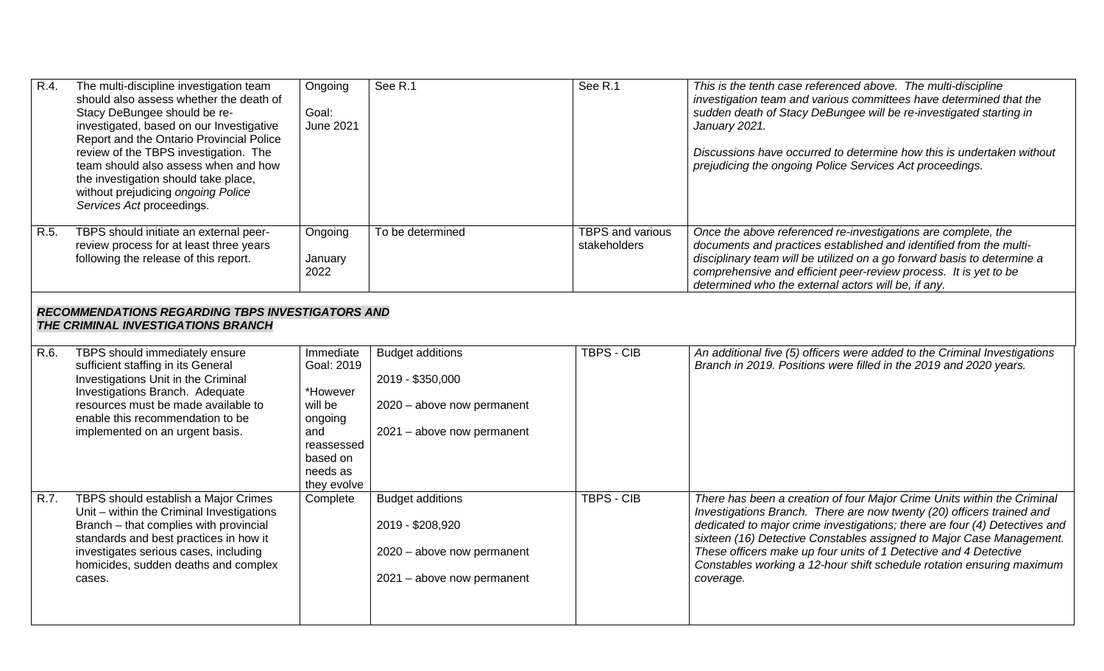| R.4. | The multi-discipline investigation team<br>should also assess whether the death of<br>Stacy DeBungee should be re-<br>investigated, based on our Investigative<br>Report and the Ontario Provincial Police<br>review of the TBPS investigation. The<br>team should also assess when and how<br>the investigation should take place,<br>without prejudicing ongoing Police<br>Services Act proceedings. | Ongoing<br>Goal:<br><b>June 2021</b>                                                                                  | See R.1                                                                                                 | See R.1                          | This is the tenth case referenced above. The multi-discipline<br>investigation team and various committees have determined that the<br>sudden death of Stacy DeBungee will be re-investigated starting in<br>January 2021.<br>Discussions have occurred to determine how this is undertaken without<br>prejudicing the ongoing Police Services Act proceedings.                                                                                                  |  |  |  |
|------|--------------------------------------------------------------------------------------------------------------------------------------------------------------------------------------------------------------------------------------------------------------------------------------------------------------------------------------------------------------------------------------------------------|-----------------------------------------------------------------------------------------------------------------------|---------------------------------------------------------------------------------------------------------|----------------------------------|------------------------------------------------------------------------------------------------------------------------------------------------------------------------------------------------------------------------------------------------------------------------------------------------------------------------------------------------------------------------------------------------------------------------------------------------------------------|--|--|--|
| R.5. | TBPS should initiate an external peer-<br>review process for at least three years<br>following the release of this report.                                                                                                                                                                                                                                                                             | Ongoing<br>January<br>2022                                                                                            | To be determined                                                                                        | TBPS and various<br>stakeholders | Once the above referenced re-investigations are complete, the<br>documents and practices established and identified from the multi-<br>disciplinary team will be utilized on a go forward basis to determine a<br>comprehensive and efficient peer-review process. It is yet to be<br>determined who the external actors will be, if any.                                                                                                                        |  |  |  |
|      | <b>RECOMMENDATIONS REGARDING TBPS INVESTIGATORS AND</b><br>THE CRIMINAL INVESTIGATIONS BRANCH                                                                                                                                                                                                                                                                                                          |                                                                                                                       |                                                                                                         |                                  |                                                                                                                                                                                                                                                                                                                                                                                                                                                                  |  |  |  |
| R.6. | TBPS should immediately ensure<br>sufficient staffing in its General<br>Investigations Unit in the Criminal<br>Investigations Branch. Adequate<br>resources must be made available to<br>enable this recommendation to be<br>implemented on an urgent basis.                                                                                                                                           | Immediate<br>Goal: 2019<br>*However<br>will be<br>ongoing<br>and<br>reassessed<br>based on<br>needs as<br>they evolve | <b>Budget additions</b><br>2019 - \$350,000<br>2020 - above now permanent<br>2021 - above now permanent | <b>TBPS - CIB</b>                | An additional five (5) officers were added to the Criminal Investigations<br>Branch in 2019. Positions were filled in the 2019 and 2020 years.                                                                                                                                                                                                                                                                                                                   |  |  |  |
| R.7. | TBPS should establish a Major Crimes<br>Unit – within the Criminal Investigations<br>Branch - that complies with provincial<br>standards and best practices in how it<br>investigates serious cases, including<br>homicides, sudden deaths and complex<br>cases.                                                                                                                                       | Complete                                                                                                              | <b>Budget additions</b><br>2019 - \$208,920<br>2020 - above now permanent<br>2021 - above now permanent | <b>TBPS - CIB</b>                | There has been a creation of four Major Crime Units within the Criminal<br>Investigations Branch. There are now twenty (20) officers trained and<br>dedicated to major crime investigations; there are four (4) Detectives and<br>sixteen (16) Detective Constables assigned to Major Case Management.<br>These officers make up four units of 1 Detective and 4 Detective<br>Constables working a 12-hour shift schedule rotation ensuring maximum<br>coverage. |  |  |  |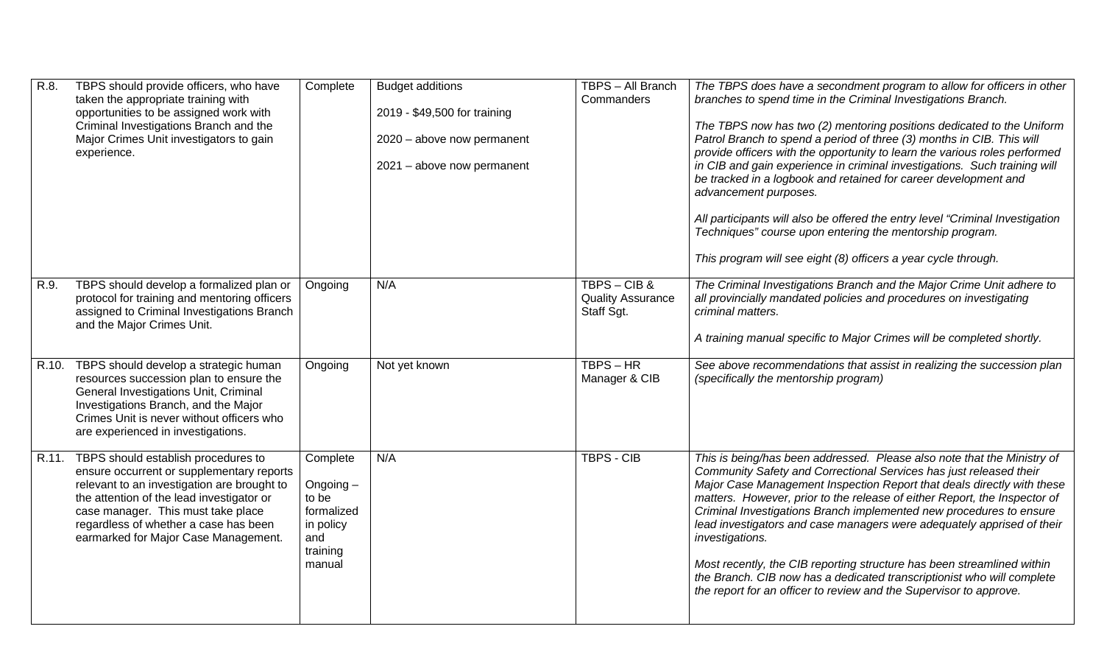| R.8. | TBPS should provide officers, who have<br>taken the appropriate training with<br>opportunities to be assigned work with<br>Criminal Investigations Branch and the<br>Major Crimes Unit investigators to gain<br>experience.                                                                               | Complete                                                                              | <b>Budget additions</b><br>2019 - \$49,500 for training<br>2020 - above now permanent<br>2021 - above now permanent | TBPS - All Branch<br>Commanders                     | The TBPS does have a secondment program to allow for officers in other<br>branches to spend time in the Criminal Investigations Branch.<br>The TBPS now has two (2) mentoring positions dedicated to the Uniform<br>Patrol Branch to spend a period of three (3) months in CIB. This will<br>provide officers with the opportunity to learn the various roles performed<br>in CIB and gain experience in criminal investigations. Such training will<br>be tracked in a logbook and retained for career development and<br>advancement purposes.<br>All participants will also be offered the entry level "Criminal Investigation<br>Techniques" course upon entering the mentorship program.<br>This program will see eight (8) officers a year cycle through. |
|------|-----------------------------------------------------------------------------------------------------------------------------------------------------------------------------------------------------------------------------------------------------------------------------------------------------------|---------------------------------------------------------------------------------------|---------------------------------------------------------------------------------------------------------------------|-----------------------------------------------------|-----------------------------------------------------------------------------------------------------------------------------------------------------------------------------------------------------------------------------------------------------------------------------------------------------------------------------------------------------------------------------------------------------------------------------------------------------------------------------------------------------------------------------------------------------------------------------------------------------------------------------------------------------------------------------------------------------------------------------------------------------------------|
| R.9. | TBPS should develop a formalized plan or<br>protocol for training and mentoring officers<br>assigned to Criminal Investigations Branch<br>and the Major Crimes Unit.                                                                                                                                      | Ongoing                                                                               | N/A                                                                                                                 | TBPS-CIB&<br><b>Quality Assurance</b><br>Staff Sgt. | The Criminal Investigations Branch and the Major Crime Unit adhere to<br>all provincially mandated policies and procedures on investigating<br>criminal matters.<br>A training manual specific to Major Crimes will be completed shortly.                                                                                                                                                                                                                                                                                                                                                                                                                                                                                                                       |
|      | R.10. TBPS should develop a strategic human<br>resources succession plan to ensure the<br>General Investigations Unit, Criminal<br>Investigations Branch, and the Major<br>Crimes Unit is never without officers who<br>are experienced in investigations.                                                | Ongoing                                                                               | Not yet known                                                                                                       | $TBPS - HR$<br>Manager & CIB                        | See above recommendations that assist in realizing the succession plan<br>(specifically the mentorship program)                                                                                                                                                                                                                                                                                                                                                                                                                                                                                                                                                                                                                                                 |
|      | R.11. TBPS should establish procedures to<br>ensure occurrent or supplementary reports<br>relevant to an investigation are brought to<br>the attention of the lead investigator or<br>case manager. This must take place<br>regardless of whether a case has been<br>earmarked for Major Case Management. | Complete<br>Ongoing-<br>to be<br>formalized<br>in policy<br>and<br>training<br>manual | N/A                                                                                                                 | TBPS - CIB                                          | This is being/has been addressed. Please also note that the Ministry of<br>Community Safety and Correctional Services has just released their<br>Major Case Management Inspection Report that deals directly with these<br>matters. However, prior to the release of either Report, the Inspector of<br>Criminal Investigations Branch implemented new procedures to ensure<br>lead investigators and case managers were adequately apprised of their<br>investigations.<br>Most recently, the CIB reporting structure has been streamlined within<br>the Branch. CIB now has a dedicated transcriptionist who will complete<br>the report for an officer to review and the Supervisor to approve.                                                              |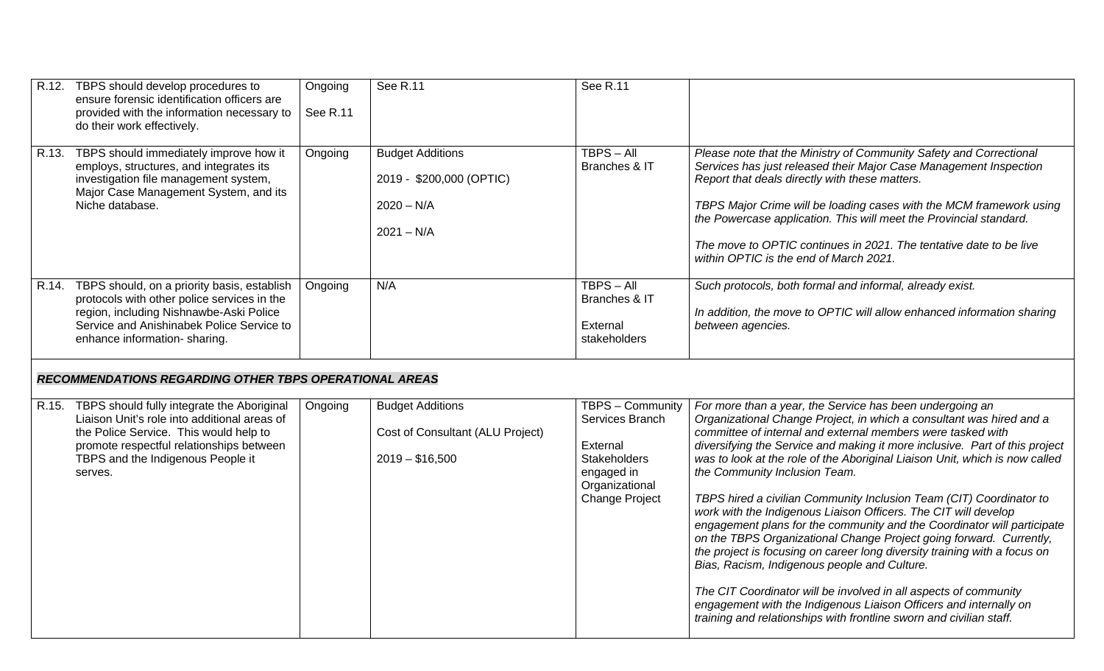| R.12. TBPS should develop procedures to<br>ensure forensic identification officers are<br>provided with the information necessary to<br>do their work effectively.                                                                                                                        | Ongoing<br>See R.11 | See R.11                                                                            | See R.11                                                                                                                        |                                                                                                                                                                                                                                                                                                                                                                                                                                                                                                                                                                                                                                                                                                                                                                                                                                                                                                                                                                                                                                         |
|-------------------------------------------------------------------------------------------------------------------------------------------------------------------------------------------------------------------------------------------------------------------------------------------|---------------------|-------------------------------------------------------------------------------------|---------------------------------------------------------------------------------------------------------------------------------|-----------------------------------------------------------------------------------------------------------------------------------------------------------------------------------------------------------------------------------------------------------------------------------------------------------------------------------------------------------------------------------------------------------------------------------------------------------------------------------------------------------------------------------------------------------------------------------------------------------------------------------------------------------------------------------------------------------------------------------------------------------------------------------------------------------------------------------------------------------------------------------------------------------------------------------------------------------------------------------------------------------------------------------------|
| R.13. TBPS should immediately improve how it<br>employs, structures, and integrates its<br>investigation file management system,<br>Major Case Management System, and its<br>Niche database.                                                                                              | Ongoing             | <b>Budget Additions</b><br>2019 - \$200,000 (OPTIC)<br>$2020 - N/A$<br>$2021 - N/A$ | $TBPS - All$<br>Branches & IT                                                                                                   | Please note that the Ministry of Community Safety and Correctional<br>Services has just released their Major Case Management Inspection<br>Report that deals directly with these matters.<br>TBPS Major Crime will be loading cases with the MCM framework using<br>the Powercase application. This will meet the Provincial standard.<br>The move to OPTIC continues in 2021. The tentative date to be live<br>within OPTIC is the end of March 2021.                                                                                                                                                                                                                                                                                                                                                                                                                                                                                                                                                                                  |
| R.14. TBPS should, on a priority basis, establish<br>protocols with other police services in the<br>region, including Nishnawbe-Aski Police<br>Service and Anishinabek Police Service to<br>enhance information-sharing.<br><b>RECOMMENDATIONS REGARDING OTHER TBPS OPERATIONAL AREAS</b> | Ongoing             | N/A                                                                                 | $TBPS - All$<br>Branches & IT<br>External<br>stakeholders                                                                       | Such protocols, both formal and informal, already exist.<br>In addition, the move to OPTIC will allow enhanced information sharing<br>between agencies.                                                                                                                                                                                                                                                                                                                                                                                                                                                                                                                                                                                                                                                                                                                                                                                                                                                                                 |
|                                                                                                                                                                                                                                                                                           |                     |                                                                                     |                                                                                                                                 |                                                                                                                                                                                                                                                                                                                                                                                                                                                                                                                                                                                                                                                                                                                                                                                                                                                                                                                                                                                                                                         |
| R.15. TBPS should fully integrate the Aboriginal<br>Liaison Unit's role into additional areas of<br>the Police Service. This would help to<br>promote respectful relationships between<br>TBPS and the Indigenous People it<br>serves.                                                    | Ongoing             | <b>Budget Additions</b><br>Cost of Consultant (ALU Project)<br>$2019 - $16,500$     | TBPS - Community<br>Services Branch<br>External<br><b>Stakeholders</b><br>engaged in<br>Organizational<br><b>Change Project</b> | For more than a year, the Service has been undergoing an<br>Organizational Change Project, in which a consultant was hired and a<br>committee of internal and external members were tasked with<br>diversifying the Service and making it more inclusive. Part of this project<br>was to look at the role of the Aboriginal Liaison Unit, which is now called<br>the Community Inclusion Team.<br>TBPS hired a civilian Community Inclusion Team (CIT) Coordinator to<br>work with the Indigenous Liaison Officers. The CIT will develop<br>engagement plans for the community and the Coordinator will participate<br>on the TBPS Organizational Change Project going forward. Currently,<br>the project is focusing on career long diversity training with a focus on<br>Bias, Racism, Indigenous people and Culture.<br>The CIT Coordinator will be involved in all aspects of community<br>engagement with the Indigenous Liaison Officers and internally on<br>training and relationships with frontline sworn and civilian staff. |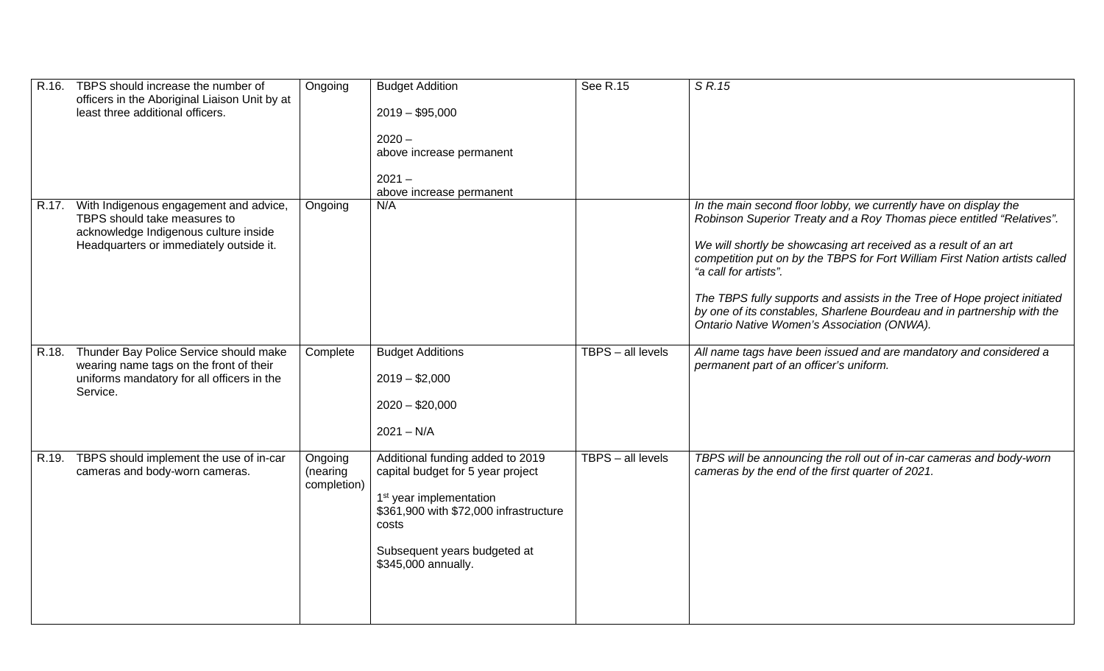| R.16. TBPS should increase the number of<br>officers in the Aboriginal Liaison Unit by at<br>least three additional officers.                                    | Ongoing                            | <b>Budget Addition</b><br>$2019 - $95,000$<br>$2020 -$<br>above increase permanent<br>$2021 -$<br>above increase permanent                                                                                             | See R.15          | S R.15                                                                                                                                                                                                                                                                                                                                                                                                                                                                                                                      |
|------------------------------------------------------------------------------------------------------------------------------------------------------------------|------------------------------------|------------------------------------------------------------------------------------------------------------------------------------------------------------------------------------------------------------------------|-------------------|-----------------------------------------------------------------------------------------------------------------------------------------------------------------------------------------------------------------------------------------------------------------------------------------------------------------------------------------------------------------------------------------------------------------------------------------------------------------------------------------------------------------------------|
| R.17. With Indigenous engagement and advice,<br>TBPS should take measures to<br>acknowledge Indigenous culture inside<br>Headquarters or immediately outside it. | Ongoing                            | N/A                                                                                                                                                                                                                    |                   | In the main second floor lobby, we currently have on display the<br>Robinson Superior Treaty and a Roy Thomas piece entitled "Relatives".<br>We will shortly be showcasing art received as a result of an art<br>competition put on by the TBPS for Fort William First Nation artists called<br>"a call for artists".<br>The TBPS fully supports and assists in the Tree of Hope project initiated<br>by one of its constables, Sharlene Bourdeau and in partnership with the<br>Ontario Native Women's Association (ONWA). |
| R.18. Thunder Bay Police Service should make<br>wearing name tags on the front of their<br>uniforms mandatory for all officers in the<br>Service.                | Complete                           | <b>Budget Additions</b><br>$2019 - $2,000$<br>$2020 - $20,000$<br>$2021 - N/A$                                                                                                                                         | TBPS - all levels | All name tags have been issued and are mandatory and considered a<br>permanent part of an officer's uniform.                                                                                                                                                                                                                                                                                                                                                                                                                |
| R.19. TBPS should implement the use of in-car<br>cameras and body-worn cameras.                                                                                  | Ongoing<br>(nearing<br>completion) | Additional funding added to 2019<br>capital budget for 5 year project<br>1 <sup>st</sup> year implementation<br>\$361,900 with \$72,000 infrastructure<br>costs<br>Subsequent years budgeted at<br>\$345,000 annually. | TBPS - all levels | TBPS will be announcing the roll out of in-car cameras and body-worn<br>cameras by the end of the first quarter of 2021.                                                                                                                                                                                                                                                                                                                                                                                                    |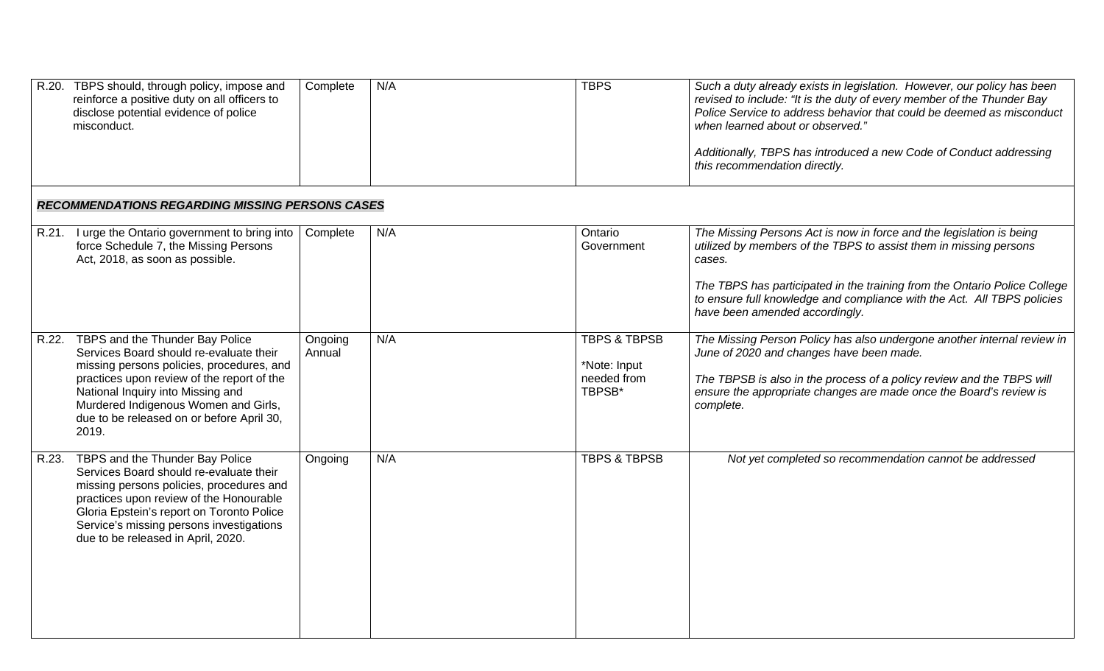| R.20. TBPS should, through policy, impose and<br>reinforce a positive duty on all officers to<br>disclose potential evidence of police<br>misconduct.                                                                                                                                                          | Complete          | N/A | <b>TBPS</b>                                                      | Such a duty already exists in legislation. However, our policy has been<br>revised to include: "It is the duty of every member of the Thunder Bay<br>Police Service to address behavior that could be deemed as misconduct<br>when learned about or observed."<br>Additionally, TBPS has introduced a new Code of Conduct addressing<br>this recommendation directly. |
|----------------------------------------------------------------------------------------------------------------------------------------------------------------------------------------------------------------------------------------------------------------------------------------------------------------|-------------------|-----|------------------------------------------------------------------|-----------------------------------------------------------------------------------------------------------------------------------------------------------------------------------------------------------------------------------------------------------------------------------------------------------------------------------------------------------------------|
| <b>RECOMMENDATIONS REGARDING MISSING PERSONS CASES</b>                                                                                                                                                                                                                                                         |                   |     |                                                                  |                                                                                                                                                                                                                                                                                                                                                                       |
| R.21. I urge the Ontario government to bring into<br>force Schedule 7, the Missing Persons<br>Act, 2018, as soon as possible.                                                                                                                                                                                  | Complete          | N/A | Ontario<br>Government                                            | The Missing Persons Act is now in force and the legislation is being<br>utilized by members of the TBPS to assist them in missing persons<br>cases.<br>The TBPS has participated in the training from the Ontario Police College<br>to ensure full knowledge and compliance with the Act. All TBPS policies<br>have been amended accordingly.                         |
| R.22. TBPS and the Thunder Bay Police<br>Services Board should re-evaluate their<br>missing persons policies, procedures, and<br>practices upon review of the report of the<br>National Inquiry into Missing and<br>Murdered Indigenous Women and Girls,<br>due to be released on or before April 30,<br>2019. | Ongoing<br>Annual | N/A | <b>TBPS &amp; TBPSB</b><br>*Note: Input<br>needed from<br>TBPSB* | The Missing Person Policy has also undergone another internal review in<br>June of 2020 and changes have been made.<br>The TBPSB is also in the process of a policy review and the TBPS will<br>ensure the appropriate changes are made once the Board's review is<br>complete.                                                                                       |
| R.23. TBPS and the Thunder Bay Police<br>Services Board should re-evaluate their<br>missing persons policies, procedures and<br>practices upon review of the Honourable<br>Gloria Epstein's report on Toronto Police<br>Service's missing persons investigations<br>due to be released in April, 2020.         | Ongoing           | N/A | <b>TBPS &amp; TBPSB</b>                                          | Not yet completed so recommendation cannot be addressed                                                                                                                                                                                                                                                                                                               |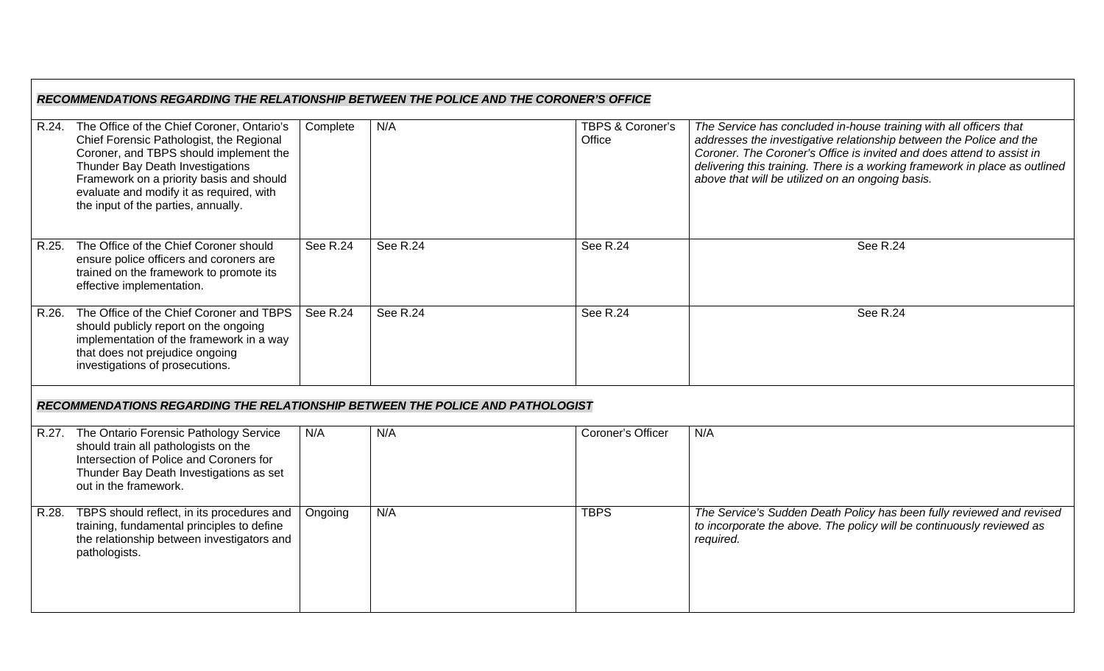|       | RECOMMENDATIONS REGARDING THE RELATIONSHIP BETWEEN THE POLICE AND THE CORONER'S OFFICE                                                                                                                                                                                                                    |          |          |                                       |                                                                                                                                                                                                                                                                                                                                                       |  |  |
|-------|-----------------------------------------------------------------------------------------------------------------------------------------------------------------------------------------------------------------------------------------------------------------------------------------------------------|----------|----------|---------------------------------------|-------------------------------------------------------------------------------------------------------------------------------------------------------------------------------------------------------------------------------------------------------------------------------------------------------------------------------------------------------|--|--|
|       | R.24. The Office of the Chief Coroner, Ontario's<br>Chief Forensic Pathologist, the Regional<br>Coroner, and TBPS should implement the<br>Thunder Bay Death Investigations<br>Framework on a priority basis and should<br>evaluate and modify it as required, with<br>the input of the parties, annually. | Complete | N/A      | <b>TBPS &amp; Coroner's</b><br>Office | The Service has concluded in-house training with all officers that<br>addresses the investigative relationship between the Police and the<br>Coroner. The Coroner's Office is invited and does attend to assist in<br>delivering this training. There is a working framework in place as outlined<br>above that will be utilized on an ongoing basis. |  |  |
|       | R.25. The Office of the Chief Coroner should<br>ensure police officers and coroners are<br>trained on the framework to promote its<br>effective implementation.                                                                                                                                           | See R.24 | See R.24 | See R.24                              | See R.24                                                                                                                                                                                                                                                                                                                                              |  |  |
| R.26. | The Office of the Chief Coroner and TBPS<br>should publicly report on the ongoing<br>implementation of the framework in a way<br>that does not prejudice ongoing<br>investigations of prosecutions.                                                                                                       | See R.24 | See R.24 | See R.24                              | See R.24                                                                                                                                                                                                                                                                                                                                              |  |  |
|       | RECOMMENDATIONS REGARDING THE RELATIONSHIP BETWEEN THE POLICE AND PATHOLOGIST                                                                                                                                                                                                                             |          |          |                                       |                                                                                                                                                                                                                                                                                                                                                       |  |  |
|       | R.27. The Ontario Forensic Pathology Service<br>should train all pathologists on the<br>Intersection of Police and Coroners for<br>Thunder Bay Death Investigations as set<br>out in the framework.                                                                                                       | N/A      | N/A      | Coroner's Officer                     | N/A                                                                                                                                                                                                                                                                                                                                                   |  |  |
|       | R.28. TBPS should reflect, in its procedures and<br>training, fundamental principles to define<br>the relationship between investigators and<br>pathologists.                                                                                                                                             | Ongoing  | N/A      | <b>TBPS</b>                           | The Service's Sudden Death Policy has been fully reviewed and revised<br>to incorporate the above. The policy will be continuously reviewed as<br>required.                                                                                                                                                                                           |  |  |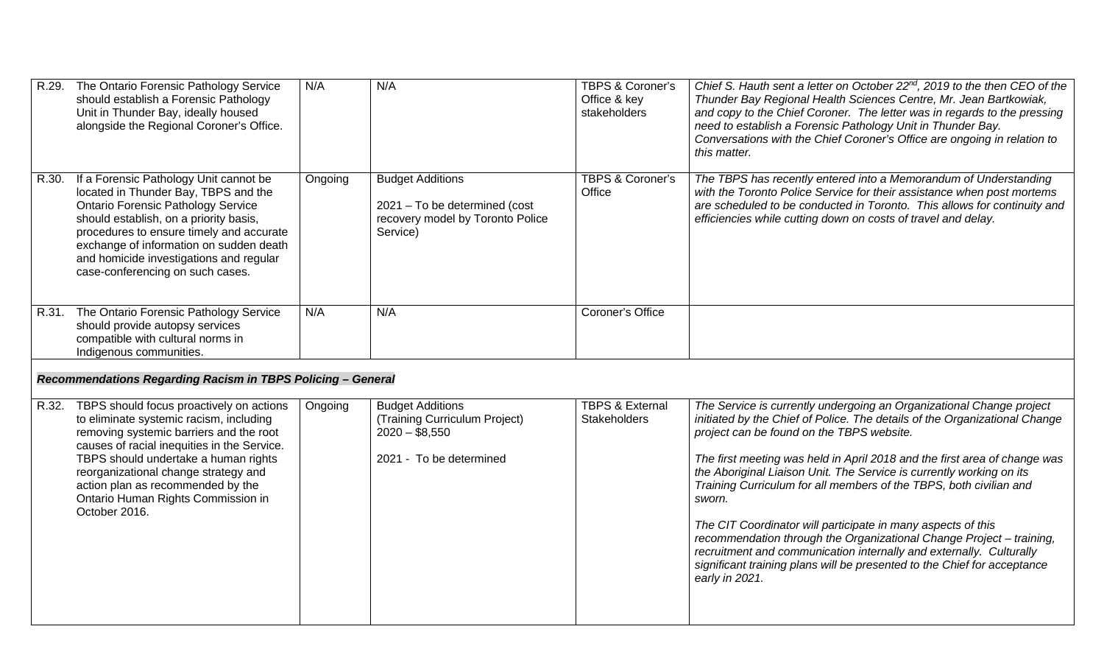|       | R.29. The Ontario Forensic Pathology Service<br>should establish a Forensic Pathology<br>Unit in Thunder Bay, ideally housed<br>alongside the Regional Coroner's Office.                                                                                                                                                                                        | N/A     | N/A                                                                                                      | <b>TBPS &amp; Coroner's</b><br>Office & key<br>stakeholders | Chief S. Hauth sent a letter on October 22 <sup>nd</sup> , 2019 to the then CEO of the<br>Thunder Bay Regional Health Sciences Centre, Mr. Jean Bartkowiak,<br>and copy to the Chief Coroner. The letter was in regards to the pressing<br>need to establish a Forensic Pathology Unit in Thunder Bay.<br>Conversations with the Chief Coroner's Office are ongoing in relation to<br>this matter.                                                                                                                                                                                                                                                                                                                                                |
|-------|-----------------------------------------------------------------------------------------------------------------------------------------------------------------------------------------------------------------------------------------------------------------------------------------------------------------------------------------------------------------|---------|----------------------------------------------------------------------------------------------------------|-------------------------------------------------------------|---------------------------------------------------------------------------------------------------------------------------------------------------------------------------------------------------------------------------------------------------------------------------------------------------------------------------------------------------------------------------------------------------------------------------------------------------------------------------------------------------------------------------------------------------------------------------------------------------------------------------------------------------------------------------------------------------------------------------------------------------|
| R.30. | If a Forensic Pathology Unit cannot be<br>located in Thunder Bay, TBPS and the<br><b>Ontario Forensic Pathology Service</b><br>should establish, on a priority basis,<br>procedures to ensure timely and accurate<br>exchange of information on sudden death<br>and homicide investigations and regular<br>case-conferencing on such cases.                     | Ongoing | <b>Budget Additions</b><br>2021 - To be determined (cost<br>recovery model by Toronto Police<br>Service) | <b>TBPS &amp; Coroner's</b><br>Office                       | The TBPS has recently entered into a Memorandum of Understanding<br>with the Toronto Police Service for their assistance when post mortems<br>are scheduled to be conducted in Toronto. This allows for continuity and<br>efficiencies while cutting down on costs of travel and delay.                                                                                                                                                                                                                                                                                                                                                                                                                                                           |
|       | R.31. The Ontario Forensic Pathology Service<br>should provide autopsy services<br>compatible with cultural norms in<br>Indigenous communities.                                                                                                                                                                                                                 | N/A     | N/A                                                                                                      | Coroner's Office                                            |                                                                                                                                                                                                                                                                                                                                                                                                                                                                                                                                                                                                                                                                                                                                                   |
|       | Recommendations Regarding Racism in TBPS Policing - General                                                                                                                                                                                                                                                                                                     |         |                                                                                                          |                                                             |                                                                                                                                                                                                                                                                                                                                                                                                                                                                                                                                                                                                                                                                                                                                                   |
|       | R.32. TBPS should focus proactively on actions<br>to eliminate systemic racism, including<br>removing systemic barriers and the root<br>causes of racial inequities in the Service.<br>TBPS should undertake a human rights<br>reorganizational change strategy and<br>action plan as recommended by the<br>Ontario Human Rights Commission in<br>October 2016. | Ongoing | <b>Budget Additions</b><br>(Training Curriculum Project)<br>$2020 - $8,550$<br>2021 - To be determined   | <b>TBPS &amp; External</b><br><b>Stakeholders</b>           | The Service is currently undergoing an Organizational Change project<br>initiated by the Chief of Police. The details of the Organizational Change<br>project can be found on the TBPS website.<br>The first meeting was held in April 2018 and the first area of change was<br>the Aboriginal Liaison Unit. The Service is currently working on its<br>Training Curriculum for all members of the TBPS, both civilian and<br>sworn.<br>The CIT Coordinator will participate in many aspects of this<br>recommendation through the Organizational Change Project - training,<br>recruitment and communication internally and externally. Culturally<br>significant training plans will be presented to the Chief for acceptance<br>early in 2021. |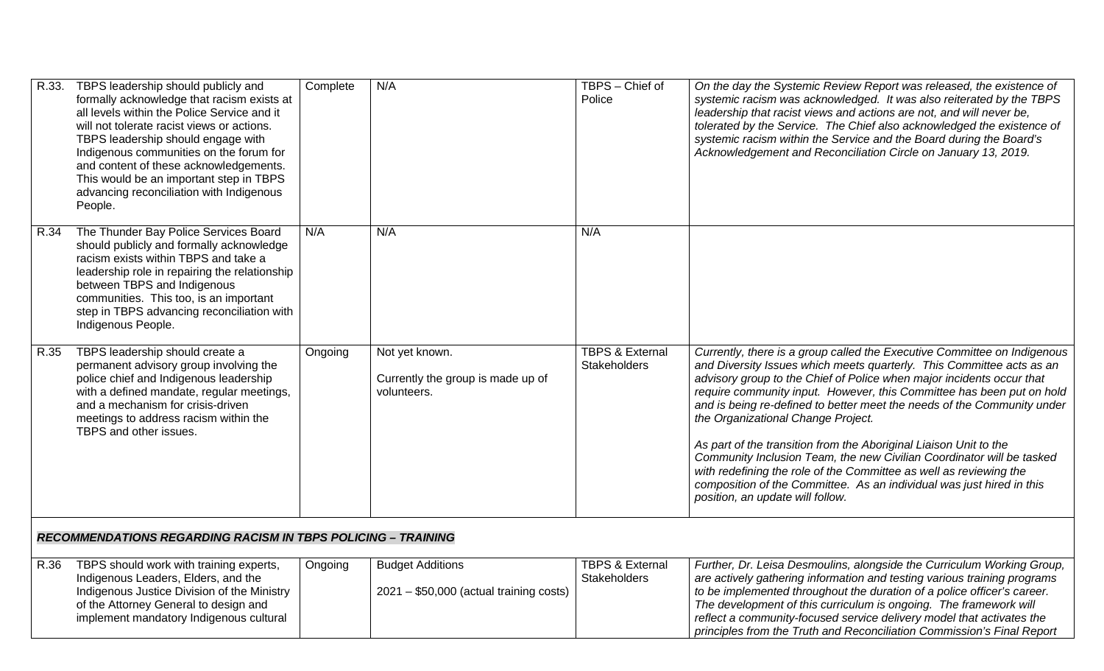|      | R.33. TBPS leadership should publicly and<br>formally acknowledge that racism exists at<br>all levels within the Police Service and it<br>will not tolerate racist views or actions.<br>TBPS leadership should engage with<br>Indigenous communities on the forum for<br>and content of these acknowledgements.<br>This would be an important step in TBPS<br>advancing reconciliation with Indigenous<br>People. | Complete | N/A                                                                 | TBPS - Chief of<br>Police                         | On the day the Systemic Review Report was released, the existence of<br>systemic racism was acknowledged. It was also reiterated by the TBPS<br>leadership that racist views and actions are not, and will never be,<br>tolerated by the Service. The Chief also acknowledged the existence of<br>systemic racism within the Service and the Board during the Board's<br>Acknowledgement and Reconciliation Circle on January 13, 2019.                                                                                                                                                                                                                                                                                                               |  |  |
|------|-------------------------------------------------------------------------------------------------------------------------------------------------------------------------------------------------------------------------------------------------------------------------------------------------------------------------------------------------------------------------------------------------------------------|----------|---------------------------------------------------------------------|---------------------------------------------------|-------------------------------------------------------------------------------------------------------------------------------------------------------------------------------------------------------------------------------------------------------------------------------------------------------------------------------------------------------------------------------------------------------------------------------------------------------------------------------------------------------------------------------------------------------------------------------------------------------------------------------------------------------------------------------------------------------------------------------------------------------|--|--|
| R.34 | The Thunder Bay Police Services Board<br>should publicly and formally acknowledge<br>racism exists within TBPS and take a<br>leadership role in repairing the relationship<br>between TBPS and Indigenous<br>communities. This too, is an important<br>step in TBPS advancing reconciliation with<br>Indigenous People.                                                                                           | N/A      | N/A                                                                 | N/A                                               |                                                                                                                                                                                                                                                                                                                                                                                                                                                                                                                                                                                                                                                                                                                                                       |  |  |
| R.35 | TBPS leadership should create a<br>permanent advisory group involving the<br>police chief and Indigenous leadership<br>with a defined mandate, regular meetings,<br>and a mechanism for crisis-driven<br>meetings to address racism within the<br>TBPS and other issues.                                                                                                                                          | Ongoing  | Not yet known.<br>Currently the group is made up of<br>volunteers.  | <b>TBPS &amp; External</b><br><b>Stakeholders</b> | Currently, there is a group called the Executive Committee on Indigenous<br>and Diversity Issues which meets quarterly. This Committee acts as an<br>advisory group to the Chief of Police when major incidents occur that<br>require community input. However, this Committee has been put on hold<br>and is being re-defined to better meet the needs of the Community under<br>the Organizational Change Project.<br>As part of the transition from the Aboriginal Liaison Unit to the<br>Community Inclusion Team, the new Civilian Coordinator will be tasked<br>with redefining the role of the Committee as well as reviewing the<br>composition of the Committee. As an individual was just hired in this<br>position, an update will follow. |  |  |
|      | <b>RECOMMENDATIONS REGARDING RACISM IN TBPS POLICING - TRAINING</b>                                                                                                                                                                                                                                                                                                                                               |          |                                                                     |                                                   |                                                                                                                                                                                                                                                                                                                                                                                                                                                                                                                                                                                                                                                                                                                                                       |  |  |
| R.36 | TBPS should work with training experts,<br>Indigenous Leaders, Elders, and the<br>Indigenous Justice Division of the Ministry<br>of the Attorney General to design and<br>implement mandatory Indigenous cultural                                                                                                                                                                                                 | Ongoing  | <b>Budget Additions</b><br>$2021 - $50,000$ (actual training costs) | <b>TBPS &amp; External</b><br><b>Stakeholders</b> | Further, Dr. Leisa Desmoulins, alongside the Curriculum Working Group,<br>are actively gathering information and testing various training programs<br>to be implemented throughout the duration of a police officer's career.<br>The development of this curriculum is ongoing. The framework will<br>reflect a community-focused service delivery model that activates the<br>principles from the Truth and Reconciliation Commission's Final Report                                                                                                                                                                                                                                                                                                 |  |  |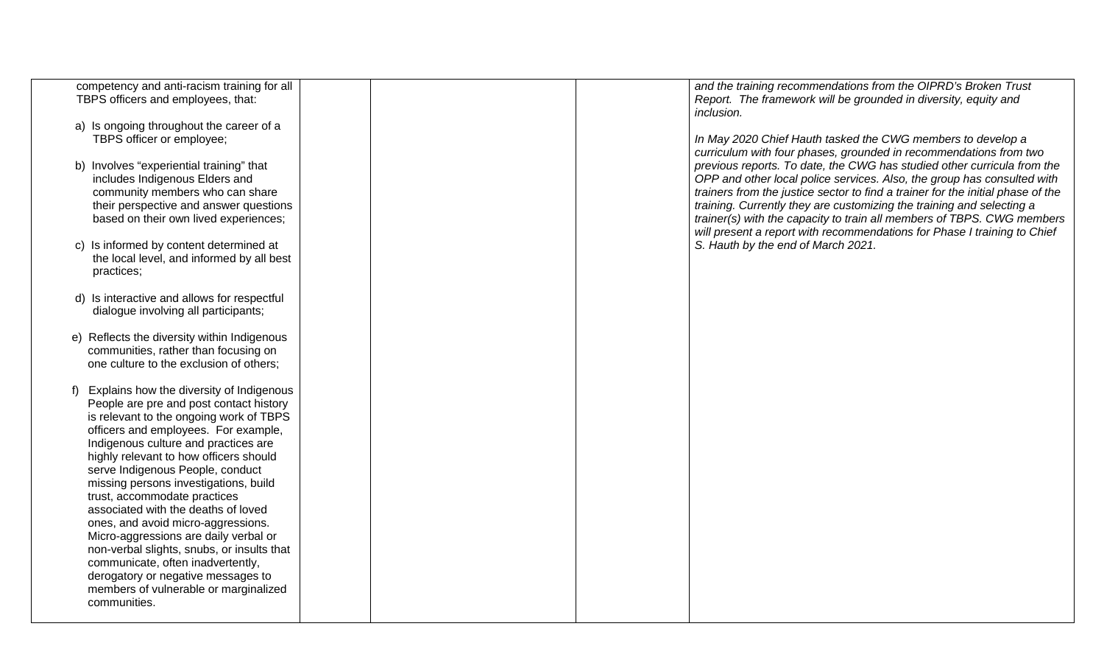| and the training recommendations from the OIPRD's Broken Trust                                                                                                                                                                                                                                                                                                                                                                                                       |
|----------------------------------------------------------------------------------------------------------------------------------------------------------------------------------------------------------------------------------------------------------------------------------------------------------------------------------------------------------------------------------------------------------------------------------------------------------------------|
| Report. The framework will be grounded in diversity, equity and<br>inclusion.                                                                                                                                                                                                                                                                                                                                                                                        |
| In May 2020 Chief Hauth tasked the CWG members to develop a<br>curriculum with four phases, grounded in recommendations from two                                                                                                                                                                                                                                                                                                                                     |
| previous reports. To date, the CWG has studied other curricula from the<br>OPP and other local police services. Also, the group has consulted with<br>trainers from the justice sector to find a trainer for the initial phase of the<br>training. Currently they are customizing the training and selecting a<br>trainer(s) with the capacity to train all members of TBPS. CWG members<br>will present a report with recommendations for Phase I training to Chief |
| S. Hauth by the end of March 2021.                                                                                                                                                                                                                                                                                                                                                                                                                                   |
|                                                                                                                                                                                                                                                                                                                                                                                                                                                                      |
|                                                                                                                                                                                                                                                                                                                                                                                                                                                                      |
|                                                                                                                                                                                                                                                                                                                                                                                                                                                                      |
|                                                                                                                                                                                                                                                                                                                                                                                                                                                                      |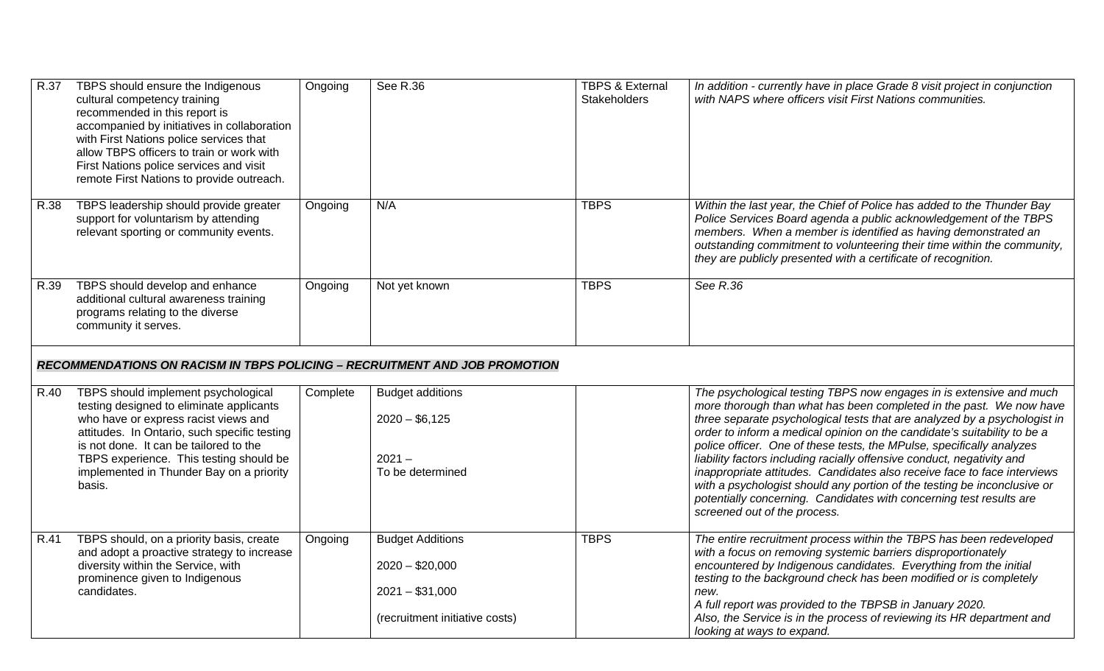| R.37 | TBPS should ensure the Indigenous<br>cultural competency training<br>recommended in this report is<br>accompanied by initiatives in collaboration<br>with First Nations police services that<br>allow TBPS officers to train or work with<br>First Nations police services and visit<br>remote First Nations to provide outreach. | Ongoing  | See R.36                                                                                          | <b>TBPS &amp; External</b><br><b>Stakeholders</b> | In addition - currently have in place Grade 8 visit project in conjunction<br>with NAPS where officers visit First Nations communities.                                                                                                                                                                                                                                                                                                                                                                                                                                                                                                                                                                               |
|------|-----------------------------------------------------------------------------------------------------------------------------------------------------------------------------------------------------------------------------------------------------------------------------------------------------------------------------------|----------|---------------------------------------------------------------------------------------------------|---------------------------------------------------|-----------------------------------------------------------------------------------------------------------------------------------------------------------------------------------------------------------------------------------------------------------------------------------------------------------------------------------------------------------------------------------------------------------------------------------------------------------------------------------------------------------------------------------------------------------------------------------------------------------------------------------------------------------------------------------------------------------------------|
| R.38 | TBPS leadership should provide greater<br>support for voluntarism by attending<br>relevant sporting or community events.                                                                                                                                                                                                          | Ongoing  | N/A                                                                                               | <b>TBPS</b>                                       | Within the last year, the Chief of Police has added to the Thunder Bay<br>Police Services Board agenda a public acknowledgement of the TBPS<br>members. When a member is identified as having demonstrated an<br>outstanding commitment to volunteering their time within the community,<br>they are publicly presented with a certificate of recognition.                                                                                                                                                                                                                                                                                                                                                            |
| R.39 | TBPS should develop and enhance<br>additional cultural awareness training<br>programs relating to the diverse<br>community it serves.                                                                                                                                                                                             | Ongoing  | Not yet known                                                                                     | <b>TBPS</b>                                       | See R.36                                                                                                                                                                                                                                                                                                                                                                                                                                                                                                                                                                                                                                                                                                              |
|      | <b>RECOMMENDATIONS ON RACISM IN TBPS POLICING - RECRUITMENT AND JOB PROMOTION</b>                                                                                                                                                                                                                                                 |          |                                                                                                   |                                                   |                                                                                                                                                                                                                                                                                                                                                                                                                                                                                                                                                                                                                                                                                                                       |
| R.40 | TBPS should implement psychological<br>testing designed to eliminate applicants<br>who have or express racist views and<br>attitudes. In Ontario, such specific testing<br>is not done. It can be tailored to the<br>TBPS experience. This testing should be<br>implemented in Thunder Bay on a priority<br>basis.                | Complete | <b>Budget additions</b><br>$2020 - $6,125$<br>$2021 -$<br>To be determined                        |                                                   | The psychological testing TBPS now engages in is extensive and much<br>more thorough than what has been completed in the past. We now have<br>three separate psychological tests that are analyzed by a psychologist in<br>order to inform a medical opinion on the candidate's suitability to be a<br>police officer. One of these tests, the MPulse, specifically analyzes<br>liability factors including racially offensive conduct, negativity and<br>inappropriate attitudes. Candidates also receive face to face interviews<br>with a psychologist should any portion of the testing be inconclusive or<br>potentially concerning. Candidates with concerning test results are<br>screened out of the process. |
| R.41 | TBPS should, on a priority basis, create<br>and adopt a proactive strategy to increase<br>diversity within the Service, with<br>prominence given to Indigenous<br>candidates.                                                                                                                                                     | Ongoing  | <b>Budget Additions</b><br>$2020 - $20,000$<br>$2021 - $31,000$<br>(recruitment initiative costs) | <b>TBPS</b>                                       | The entire recruitment process within the TBPS has been redeveloped<br>with a focus on removing systemic barriers disproportionately<br>encountered by Indigenous candidates. Everything from the initial<br>testing to the background check has been modified or is completely<br>new.<br>A full report was provided to the TBPSB in January 2020.<br>Also, the Service is in the process of reviewing its HR department and<br>looking at ways to expand.                                                                                                                                                                                                                                                           |